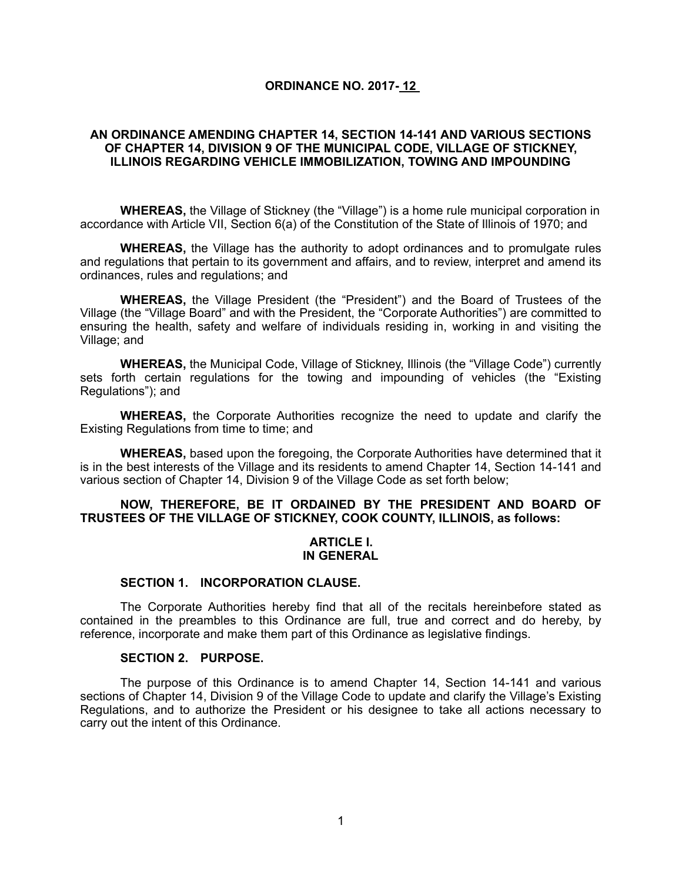## **ORDINANCE NO. 2017- 12**

### **AN ORDINANCE AMENDING CHAPTER 14, SECTION 14-141 AND VARIOUS SECTIONS OF CHAPTER 14, DIVISION 9 OF THE MUNICIPAL CODE, VILLAGE OF STICKNEY, ILLINOIS REGARDING VEHICLE IMMOBILIZATION, TOWING AND IMPOUNDING**

**WHEREAS,** the Village of Stickney (the "Village") is a home rule municipal corporation in accordance with Article VII, Section 6(a) of the Constitution of the State of Illinois of 1970; and

**WHEREAS,** the Village has the authority to adopt ordinances and to promulgate rules and regulations that pertain to its government and affairs, and to review, interpret and amend its ordinances, rules and regulations; and

**WHEREAS,** the Village President (the "President") and the Board of Trustees of the Village (the "Village Board" and with the President, the "Corporate Authorities") are committed to ensuring the health, safety and welfare of individuals residing in, working in and visiting the Village; and

**WHEREAS,** the Municipal Code, Village of Stickney, Illinois (the "Village Code") currently sets forth certain regulations for the towing and impounding of vehicles (the "Existing Regulations"); and

**WHEREAS,** the Corporate Authorities recognize the need to update and clarify the Existing Regulations from time to time; and

**WHEREAS,** based upon the foregoing, the Corporate Authorities have determined that it is in the best interests of the Village and its residents to amend Chapter 14, Section 14-141 and various section of Chapter 14, Division 9 of the Village Code as set forth below;

### **NOW, THEREFORE, BE IT ORDAINED BY THE PRESIDENT AND BOARD OF TRUSTEES OF THE VILLAGE OF STICKNEY, COOK COUNTY, ILLINOIS, as follows:**

#### **ARTICLE I. IN GENERAL**

# **SECTION 1. INCORPORATION CLAUSE.**

The Corporate Authorities hereby find that all of the recitals hereinbefore stated as contained in the preambles to this Ordinance are full, true and correct and do hereby, by reference, incorporate and make them part of this Ordinance as legislative findings.

## **SECTION 2. PURPOSE.**

The purpose of this Ordinance is to amend Chapter 14, Section 14-141 and various sections of Chapter 14, Division 9 of the Village Code to update and clarify the Village's Existing Regulations, and to authorize the President or his designee to take all actions necessary to carry out the intent of this Ordinance.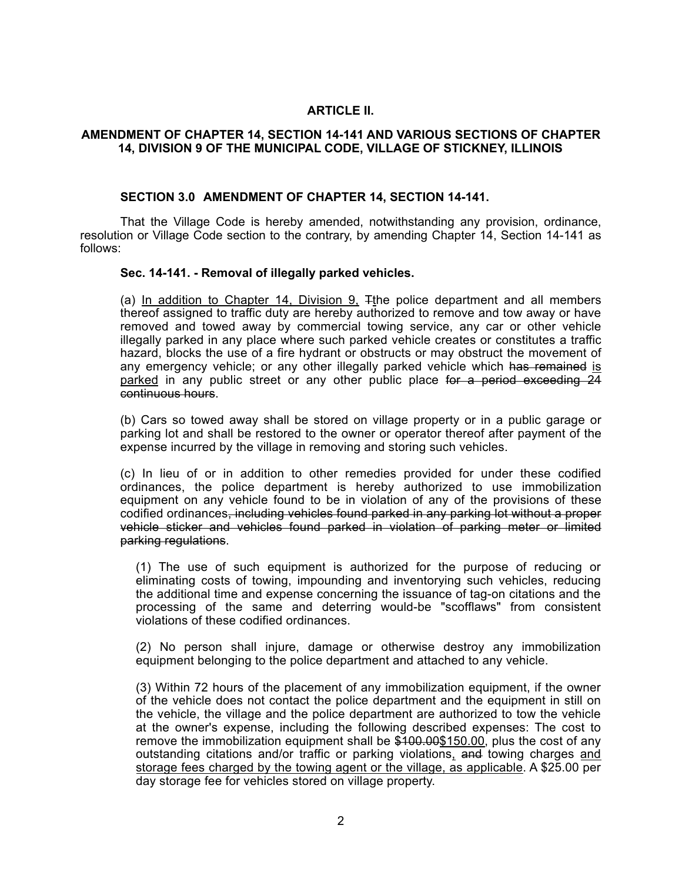# **ARTICLE II.**

# **AMENDMENT OF CHAPTER 14, SECTION 14-141 AND VARIOUS SECTIONS OF CHAPTER 14, DIVISION 9 OF THE MUNICIPAL CODE, VILLAGE OF STICKNEY, ILLINOIS**

### **SECTION 3.0 AMENDMENT OF CHAPTER 14, SECTION 14-141.**

That the Village Code is hereby amended, notwithstanding any provision, ordinance, resolution or Village Code section to the contrary, by amending Chapter 14, Section 14-141 as follows:

### **Sec. 14-141. - Removal of illegally parked vehicles.**

(a) In addition to Chapter 14, Division  $9$ ,  $\pm$ the police department and all members thereof assigned to traffic duty are hereby authorized to remove and tow away or have removed and towed away by commercial towing service, any car or other vehicle illegally parked in any place where such parked vehicle creates or constitutes a traffic hazard, blocks the use of a fire hydrant or obstructs or may obstruct the movement of any emergency vehicle; or any other illegally parked vehicle which has remained is parked in any public street or any other public place for a period exceeding 24 continuous hours.

(b) Cars so towed away shall be stored on village property or in a public garage or parking lot and shall be restored to the owner or operator thereof after payment of the expense incurred by the village in removing and storing such vehicles.

(c) In lieu of or in addition to other remedies provided for under these codified ordinances, the police department is hereby authorized to use immobilization equipment on any vehicle found to be in violation of any of the provisions of these codified ordinances, including vehicles found parked in any parking lot without a proper vehicle sticker and vehicles found parked in violation of parking meter or limited parking regulations.

(1) The use of such equipment is authorized for the purpose of reducing or eliminating costs of towing, impounding and inventorying such vehicles, reducing the additional time and expense concerning the issuance of tag-on citations and the processing of the same and deterring would-be "scofflaws" from consistent violations of these codified ordinances.

(2) No person shall injure, damage or otherwise destroy any immobilization equipment belonging to the police department and attached to any vehicle.

(3) Within 72 hours of the placement of any immobilization equipment, if the owner of the vehicle does not contact the police department and the equipment in still on the vehicle, the village and the police department are authorized to tow the vehicle at the owner's expense, including the following described expenses: The cost to remove the immobilization equipment shall be \$100.00\$150.00, plus the cost of any outstanding citations and/or traffic or parking violations, and towing charges and storage fees charged by the towing agent or the village, as applicable. A \$25.00 per day storage fee for vehicles stored on village property.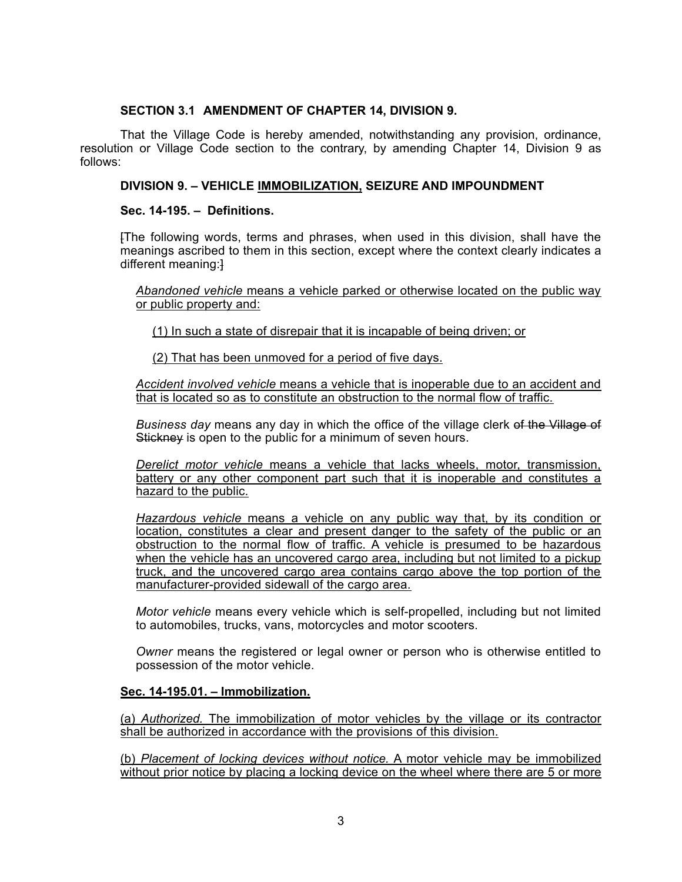# **SECTION 3.1 AMENDMENT OF CHAPTER 14, DIVISION 9.**

That the Village Code is hereby amended, notwithstanding any provision, ordinance, resolution or Village Code section to the contrary, by amending Chapter 14, Division 9 as follows:

## **DIVISION 9. – VEHICLE IMMOBILIZATION, SEIZURE AND IMPOUNDMENT**

## **Sec. 14-195. – Definitions.**

[The following words, terms and phrases, when used in this division, shall have the meanings ascribed to them in this section, except where the context clearly indicates a different meaning:]

*Abandoned vehicle* means a vehicle parked or otherwise located on the public way or public property and:

(1) In such a state of disrepair that it is incapable of being driven; or

(2) That has been unmoved for a period of five days.

*Accident involved vehicle* means a vehicle that is inoperable due to an accident and that is located so as to constitute an obstruction to the normal flow of traffic.

*Business day* means any day in which the office of the village clerk of the Village of Stickney is open to the public for a minimum of seven hours.

*Derelict motor vehicle* means a vehicle that lacks wheels, motor, transmission, battery or any other component part such that it is inoperable and constitutes a hazard to the public.

*Hazardous vehicle* means a vehicle on any public way that, by its condition or location, constitutes a clear and present danger to the safety of the public or an obstruction to the normal flow of traffic. A vehicle is presumed to be hazardous when the vehicle has an uncovered cargo area, including but not limited to a pickup truck, and the uncovered cargo area contains cargo above the top portion of the manufacturer-provided sidewall of the cargo area.

*Motor vehicle* means every vehicle which is self-propelled, including but not limited to automobiles, trucks, vans, motorcycles and motor scooters.

*Owner* means the registered or legal owner or person who is otherwise entitled to possession of the motor vehicle.

## **Sec. 14-195.01. – Immobilization.**

(a) *Authorized.* The immobilization of motor vehicles by the village or its contractor shall be authorized in accordance with the provisions of this division.

(b) *Placement of locking devices without notice.* A motor vehicle may be immobilized without prior notice by placing a locking device on the wheel where there are 5 or more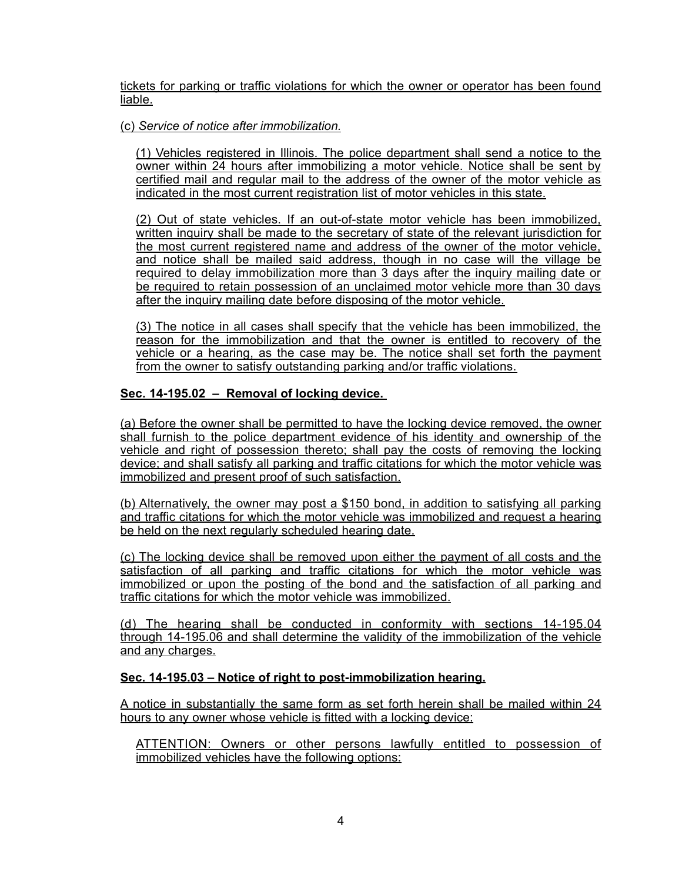tickets for parking or traffic violations for which the owner or operator has been found liable.

# (c) *Service of notice after immobilization.*

(1) Vehicles registered in Illinois. The police department shall send a notice to the owner within 24 hours after immobilizing a motor vehicle. Notice shall be sent by certified mail and regular mail to the address of the owner of the motor vehicle as indicated in the most current registration list of motor vehicles in this state.

(2) Out of state vehicles. If an out-of-state motor vehicle has been immobilized, written inquiry shall be made to the secretary of state of the relevant jurisdiction for the most current registered name and address of the owner of the motor vehicle, and notice shall be mailed said address, though in no case will the village be required to delay immobilization more than 3 days after the inquiry mailing date or be required to retain possession of an unclaimed motor vehicle more than 30 days after the inquiry mailing date before disposing of the motor vehicle.

(3) The notice in all cases shall specify that the vehicle has been immobilized, the reason for the immobilization and that the owner is entitled to recovery of the vehicle or a hearing, as the case may be. The notice shall set forth the payment from the owner to satisfy outstanding parking and/or traffic violations.

# **Sec. 14-195.02 – Removal of locking device.**

(a) Before the owner shall be permitted to have the locking device removed, the owner shall furnish to the police department evidence of his identity and ownership of the vehicle and right of possession thereto; shall pay the costs of removing the locking device; and shall satisfy all parking and traffic citations for which the motor vehicle was immobilized and present proof of such satisfaction.

(b) Alternatively, the owner may post a \$150 bond, in addition to satisfying all parking and traffic citations for which the motor vehicle was immobilized and request a hearing be held on the next regularly scheduled hearing date.

(c) The locking device shall be removed upon either the payment of all costs and the satisfaction of all parking and traffic citations for which the motor vehicle was immobilized or upon the posting of the bond and the satisfaction of all parking and traffic citations for which the motor vehicle was immobilized.

(d) The hearing shall be conducted in conformity with sections 14-195.04 through 14-195.06 and shall determine the validity of the immobilization of the vehicle and any charges.

# **Sec. 14-195.03 – Notice of right to post-immobilization hearing.**

A notice in substantially the same form as set forth herein shall be mailed within 24 hours to any owner whose vehicle is fitted with a locking device:

ATTENTION: Owners or other persons lawfully entitled to possession of immobilized vehicles have the following options: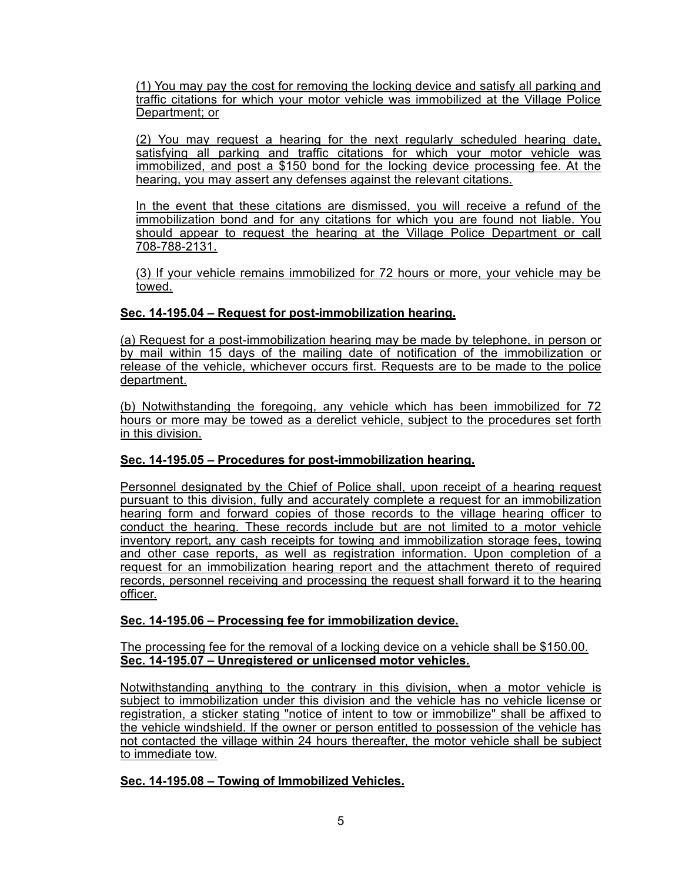(1) You may pay the cost for removing the locking device and satisfy all parking and traffic citations for which your motor vehicle was immobilized at the Village Police Department; or

(2) You may request a hearing for the next regularly scheduled hearing date, satisfying all parking and traffic citations for which your motor vehicle was immobilized, and post a \$150 bond for the locking device processing fee. At the hearing, you may assert any defenses against the relevant citations.

In the event that these citations are dismissed, you will receive a refund of the immobilization bond and for any citations for which you are found not liable. You should appear to request the hearing at the Village Police Department or call 708-788-2131.

(3) If your vehicle remains immobilized for 72 hours or more, your vehicle may be towed.

# **Sec. 14-195.04 – Request for post-immobilization hearing.**

(a) Request for a post-immobilization hearing may be made by telephone, in person or by mail within 15 days of the mailing date of notification of the immobilization or release of the vehicle, whichever occurs first. Requests are to be made to the police department.

(b) Notwithstanding the foregoing, any vehicle which has been immobilized for 72 hours or more may be towed as a derelict vehicle, subject to the procedures set forth in this division.

## **Sec. 14-195.05 – Procedures for post-immobilization hearing.**

Personnel designated by the Chief of Police shall, upon receipt of a hearing request pursuant to this division, fully and accurately complete a request for an immobilization hearing form and forward copies of those records to the village hearing officer to conduct the hearing. These records include but are not limited to a motor vehicle inventory report, any cash receipts for towing and immobilization storage fees, towing and other case reports, as well as registration information. Upon completion of a request for an immobilization hearing report and the attachment thereto of required records, personnel receiving and processing the request shall forward it to the hearing officer.

# **Sec. 14-195.06 – Processing fee for immobilization device.**

The processing fee for the removal of a locking device on a vehicle shall be \$150.00. **Sec. 14-195.07 – Unregistered or unlicensed motor vehicles.** 

Notwithstanding anything to the contrary in this division, when a motor vehicle is subject to immobilization under this division and the vehicle has no vehicle license or registration, a sticker stating "notice of intent to tow or immobilize" shall be affixed to the vehicle windshield. If the owner or person entitled to possession of the vehicle has not contacted the village within 24 hours thereafter, the motor vehicle shall be subject to immediate tow.

# **Sec. 14-195.08 – Towing of Immobilized Vehicles.**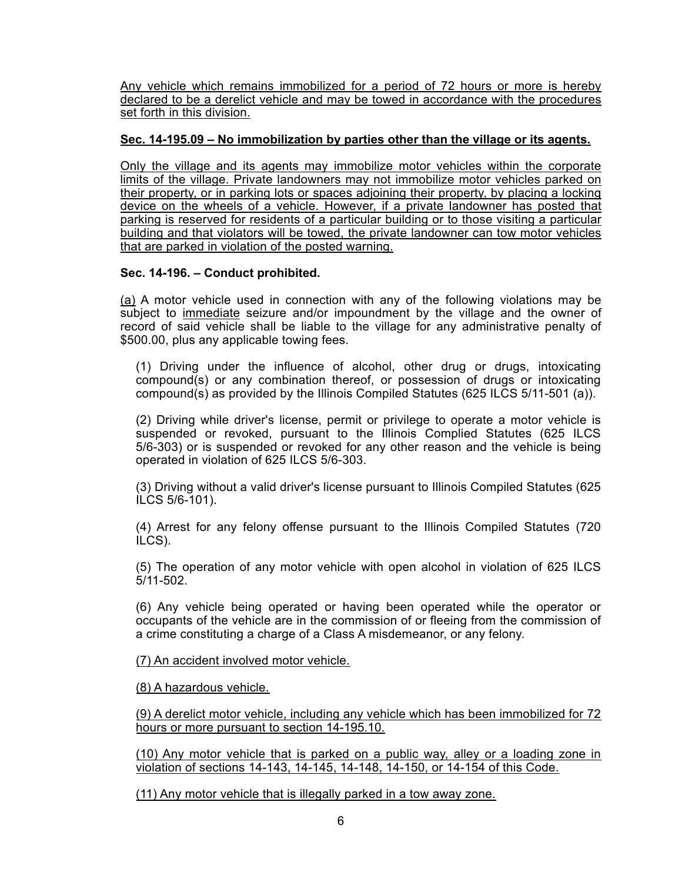Any vehicle which remains immobilized for a period of 72 hours or more is hereby declared to be a derelict vehicle and may be towed in accordance with the procedures set forth in this division.

# **Sec. 14-195.09 – No immobilization by parties other than the village or its agents.**

Only the village and its agents may immobilize motor vehicles within the corporate limits of the village. Private landowners may not immobilize motor vehicles parked on their property, or in parking lots or spaces adjoining their property, by placing a locking device on the wheels of a vehicle. However, if a private landowner has posted that parking is reserved for residents of a particular building or to those visiting a particular building and that violators will be towed, the private landowner can tow motor vehicles that are parked in violation of the posted warning.

# **Sec. 14-196. – Conduct prohibited.**

(a) A motor vehicle used in connection with any of the following violations may be subject to immediate seizure and/or impoundment by the village and the owner of record of said vehicle shall be liable to the village for any administrative penalty of \$500.00, plus any applicable towing fees.

(1) Driving under the influence of alcohol, other drug or drugs, intoxicating compound(s) or any combination thereof, or possession of drugs or intoxicating compound(s) as provided by the Illinois Compiled Statutes (625 ILCS 5/11-501 (a)).

(2) Driving while driver's license, permit or privilege to operate a motor vehicle is suspended or revoked, pursuant to the Illinois Complied Statutes (625 ILCS 5/6-303) or is suspended or revoked for any other reason and the vehicle is being operated in violation of 625 ILCS 5/6-303.

(3) Driving without a valid driver's license pursuant to Illinois Compiled Statutes (625 ILCS 5/6-101).

(4) Arrest for any felony offense pursuant to the Illinois Compiled Statutes (720 ILCS).

(5) The operation of any motor vehicle with open alcohol in violation of 625 ILCS 5/11-502.

(6) Any vehicle being operated or having been operated while the operator or occupants of the vehicle are in the commission of or fleeing from the commission of a crime constituting a charge of a Class A misdemeanor, or any felony.

(7) An accident involved motor vehicle.

(8) A hazardous vehicle.

(9) A derelict motor vehicle, including any vehicle which has been immobilized for 72 hours or more pursuant to section 14-195.10.

(10) Any motor vehicle that is parked on a public way, alley or a loading zone in violation of sections 14-143, 14-145, 14-148, 14-150, or 14-154 of this Code.

(11) Any motor vehicle that is illegally parked in a tow away zone.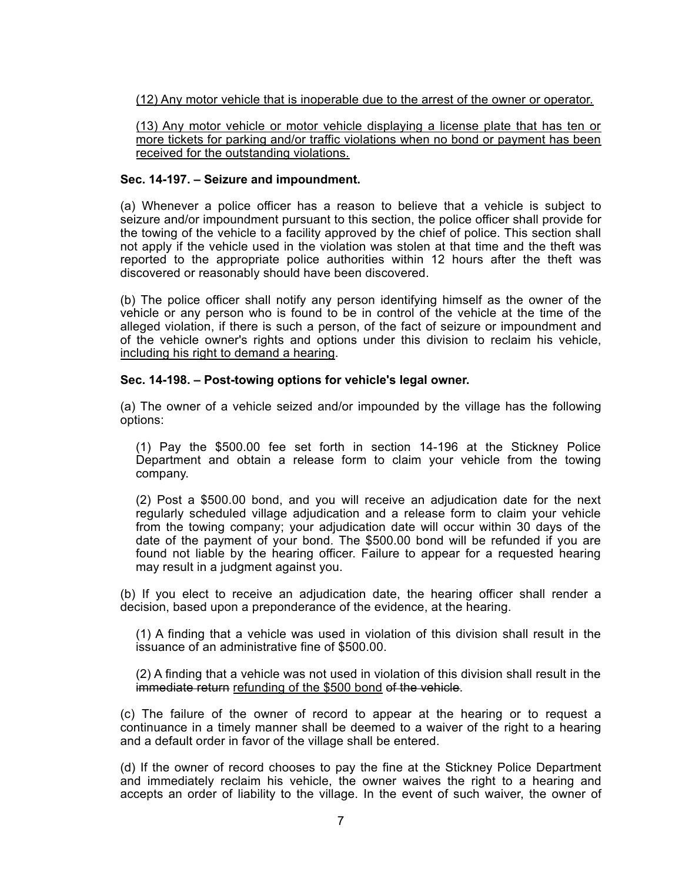## (12) Any motor vehicle that is inoperable due to the arrest of the owner or operator.

(13) Any motor vehicle or motor vehicle displaying a license plate that has ten or more tickets for parking and/or traffic violations when no bond or payment has been received for the outstanding violations.

## **Sec. 14-197. – Seizure and impoundment.**

(a) Whenever a police officer has a reason to believe that a vehicle is subject to seizure and/or impoundment pursuant to this section, the police officer shall provide for the towing of the vehicle to a facility approved by the chief of police. This section shall not apply if the vehicle used in the violation was stolen at that time and the theft was reported to the appropriate police authorities within 12 hours after the theft was discovered or reasonably should have been discovered.

(b) The police officer shall notify any person identifying himself as the owner of the vehicle or any person who is found to be in control of the vehicle at the time of the alleged violation, if there is such a person, of the fact of seizure or impoundment and of the vehicle owner's rights and options under this division to reclaim his vehicle, including his right to demand a hearing.

# **Sec. 14-198. – Post-towing options for vehicle's legal owner.**

(a) The owner of a vehicle seized and/or impounded by the village has the following options:

(1) Pay the \$500.00 fee set forth in [section 14-196](https://library.municode.com/il/stickney/codes/code_of_ordinances?nodeId=MUCO_CH14MOVETR_ARTIIIVEOP_DIV9VESEIM_S14-196COPR) at the Stickney Police Department and obtain a release form to claim your vehicle from the towing company.

(2) Post a \$500.00 bond, and you will receive an adjudication date for the next regularly scheduled village adjudication and a release form to claim your vehicle from the towing company; your adjudication date will occur within 30 days of the date of the payment of your bond. The \$500.00 bond will be refunded if you are found not liable by the hearing officer. Failure to appear for a requested hearing may result in a judgment against you.

(b) If you elect to receive an adjudication date, the hearing officer shall render a decision, based upon a preponderance of the evidence, at the hearing.

(1) A finding that a vehicle was used in violation of this division shall result in the issuance of an administrative fine of \$500.00.

(2) A finding that a vehicle was not used in violation of this division shall result in the immediate return refunding of the \$500 bond of the vehicle.

(c) The failure of the owner of record to appear at the hearing or to request a continuance in a timely manner shall be deemed to a waiver of the right to a hearing and a default order in favor of the village shall be entered.

(d) If the owner of record chooses to pay the fine at the Stickney Police Department and immediately reclaim his vehicle, the owner waives the right to a hearing and accepts an order of liability to the village. In the event of such waiver, the owner of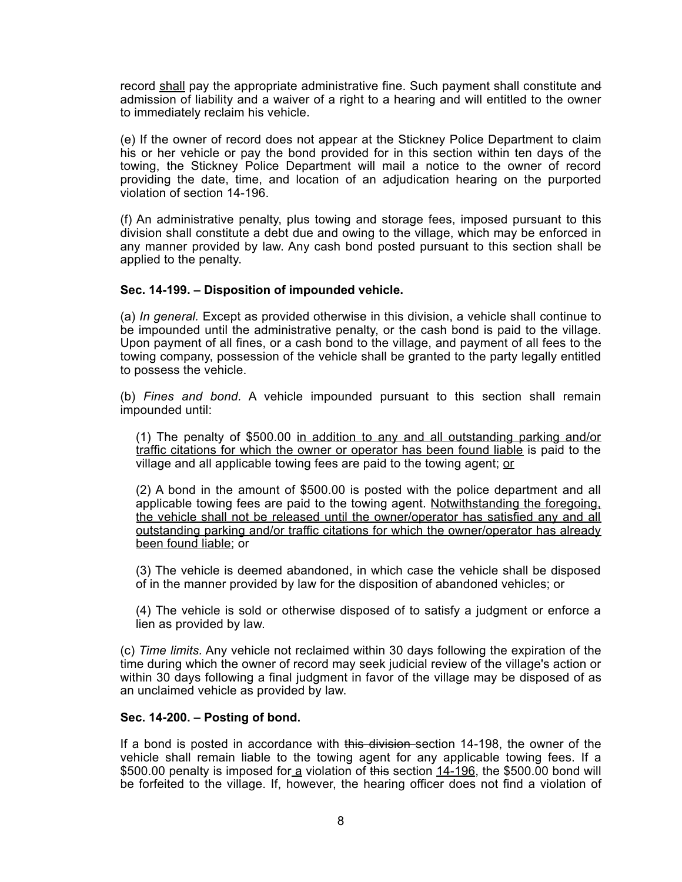record shall pay the appropriate administrative fine. Such payment shall constitute and admission of liability and a waiver of a right to a hearing and will entitled to the owner to immediately reclaim his vehicle.

(e) If the owner of record does not appear at the Stickney Police Department to claim his or her vehicle or pay the bond provided for in this section within ten days of the towing, the Stickney Police Department will mail a notice to the owner of record providing the date, time, and location of an adjudication hearing on the purported violation of [section 14-196](https://library.municode.com/il/stickney/codes/code_of_ordinances?nodeId=MUCO_CH14MOVETR_ARTIIIVEOP_DIV9VESEIM_S14-196COPR).

(f) An administrative penalty, plus towing and storage fees, imposed pursuant to this division shall constitute a debt due and owing to the village, which may be enforced in any manner provided by law. Any cash bond posted pursuant to this section shall be applied to the penalty.

## **Sec. 14-199. – Disposition of impounded vehicle.**

(a) *In general.* Except as provided otherwise in this division, a vehicle shall continue to be impounded until the administrative penalty, or the cash bond is paid to the village. Upon payment of all fines, or a cash bond to the village, and payment of all fees to the towing company, possession of the vehicle shall be granted to the party legally entitled to possess the vehicle.

(b) *Fines and bond.* A vehicle impounded pursuant to this section shall remain impounded until:

(1) The penalty of \$500.00 in addition to any and all outstanding parking and/or traffic citations for which the owner or operator has been found liable is paid to the village and all applicable towing fees are paid to the towing agent; or

(2) A bond in the amount of \$500.00 is posted with the police department and all applicable towing fees are paid to the towing agent. Notwithstanding the foregoing, the vehicle shall not be released until the owner/operator has satisfied any and all outstanding parking and/or traffic citations for which the owner/operator has already been found liable; or

(3) The vehicle is deemed abandoned, in which case the vehicle shall be disposed of in the manner provided by law for the disposition of abandoned vehicles; or

(4) The vehicle is sold or otherwise disposed of to satisfy a judgment or enforce a lien as provided by law.

(c) *Time limits.* Any vehicle not reclaimed within 30 days following the expiration of the time during which the owner of record may seek judicial review of the village's action or within 30 days following a final judgment in favor of the village may be disposed of as an unclaimed vehicle as provided by law.

## **Sec. 14-200. – Posting of bond.**

If a bond is posted in accordance with this division section 14-198, the owner of the vehicle shall remain liable to the towing agent for any applicable towing fees. If a \$500.00 penalty is imposed for a violation of this section 14-196, the \$500.00 bond will be forfeited to the village. If, however, the hearing officer does not find a violation of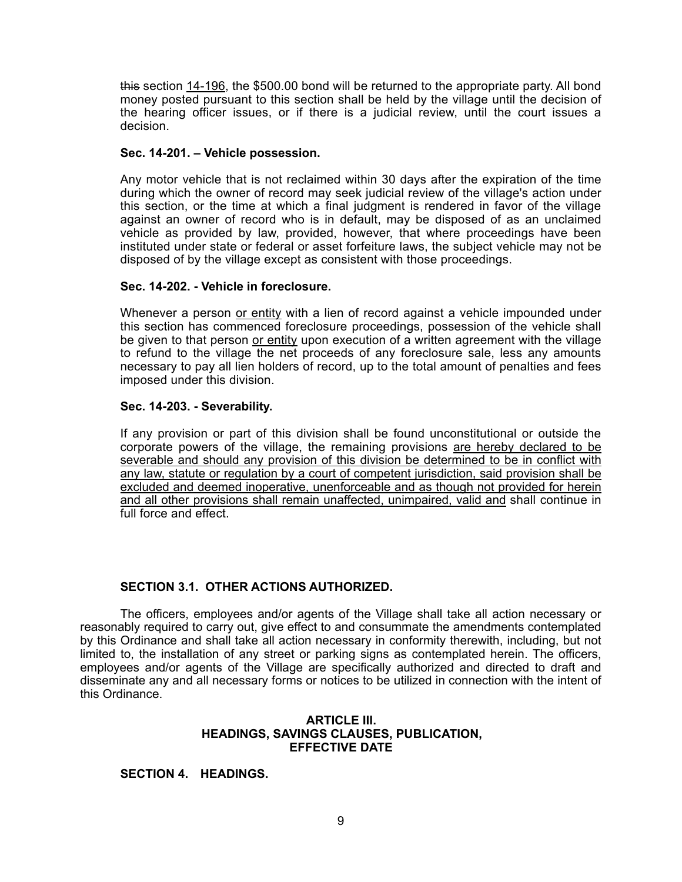this section 14-196, the \$500.00 bond will be returned to the appropriate party. All bond money posted pursuant to this section shall be held by the village until the decision of the hearing officer issues, or if there is a judicial review, until the court issues a decision.

## **Sec. 14-201. – Vehicle possession.**

Any motor vehicle that is not reclaimed within 30 days after the expiration of the time during which the owner of record may seek judicial review of the village's action under this section, or the time at which a final judgment is rendered in favor of the village against an owner of record who is in default, may be disposed of as an unclaimed vehicle as provided by law, provided, however, that where proceedings have been instituted under state or federal or asset forfeiture laws, the subject vehicle may not be disposed of by the village except as consistent with those proceedings.

### **Sec. 14-202. - Vehicle in foreclosure.**

Whenever a person or entity with a lien of record against a vehicle impounded under this section has commenced foreclosure proceedings, possession of the vehicle shall be given to that person or entity upon execution of a written agreement with the village to refund to the village the net proceeds of any foreclosure sale, less any amounts necessary to pay all lien holders of record, up to the total amount of penalties and fees imposed under this division.

### **Sec. 14-203. - Severability.**

If any provision or part of this division shall be found unconstitutional or outside the corporate powers of the village, the remaining provisions are hereby declared to be severable and should any provision of this division be determined to be in conflict with any law, statute or regulation by a court of competent jurisdiction, said provision shall be excluded and deemed inoperative, unenforceable and as though not provided for herein and all other provisions shall remain unaffected, unimpaired, valid and shall continue in full force and effect.

## **SECTION 3.1. OTHER ACTIONS AUTHORIZED.**

The officers, employees and/or agents of the Village shall take all action necessary or reasonably required to carry out, give effect to and consummate the amendments contemplated by this Ordinance and shall take all action necessary in conformity therewith, including, but not limited to, the installation of any street or parking signs as contemplated herein. The officers, employees and/or agents of the Village are specifically authorized and directed to draft and disseminate any and all necessary forms or notices to be utilized in connection with the intent of this Ordinance.

#### **ARTICLE III. HEADINGS, SAVINGS CLAUSES, PUBLICATION, EFFECTIVE DATE**

## **SECTION 4. HEADINGS.**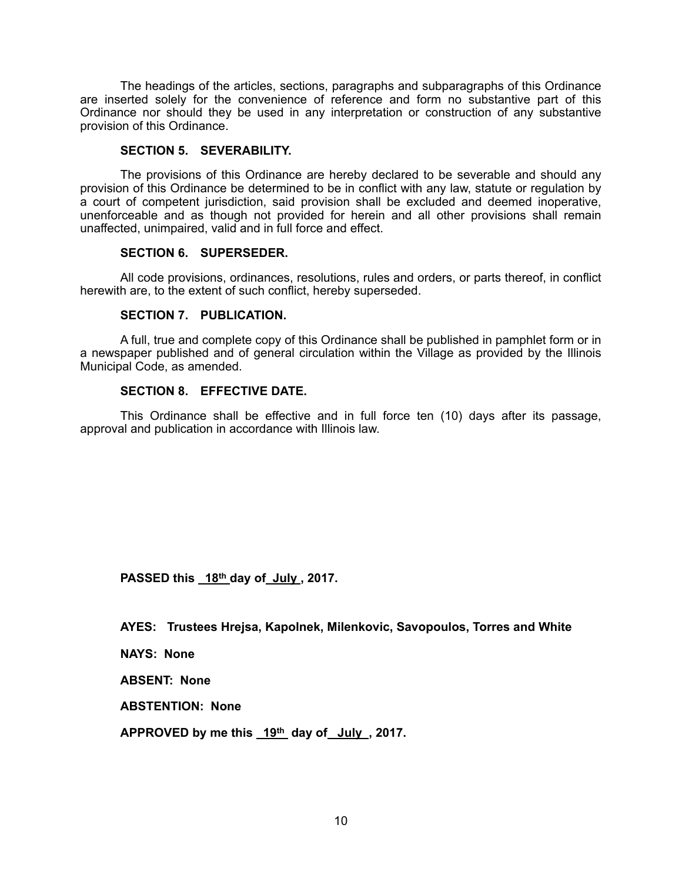The headings of the articles, sections, paragraphs and subparagraphs of this Ordinance are inserted solely for the convenience of reference and form no substantive part of this Ordinance nor should they be used in any interpretation or construction of any substantive provision of this Ordinance.

## **SECTION 5. SEVERABILITY.**

The provisions of this Ordinance are hereby declared to be severable and should any provision of this Ordinance be determined to be in conflict with any law, statute or regulation by a court of competent jurisdiction, said provision shall be excluded and deemed inoperative, unenforceable and as though not provided for herein and all other provisions shall remain unaffected, unimpaired, valid and in full force and effect.

### **SECTION 6. SUPERSEDER.**

All code provisions, ordinances, resolutions, rules and orders, or parts thereof, in conflict herewith are, to the extent of such conflict, hereby superseded.

## **SECTION 7. PUBLICATION.**

A full, true and complete copy of this Ordinance shall be published in pamphlet form or in a newspaper published and of general circulation within the Village as provided by the Illinois Municipal Code, as amended.

### **SECTION 8. EFFECTIVE DATE.**

This Ordinance shall be effective and in full force ten (10) days after its passage, approval and publication in accordance with Illinois law.

**PASSED this 18th day of July , 2017.**

**AYES: Trustees Hrejsa, Kapolnek, Milenkovic, Savopoulos, Torres and White** 

**NAYS: None** 

**ABSENT: None** 

**ABSTENTION: None** 

APPROVED by me this 19<sup>th</sup> day of July, 2017.